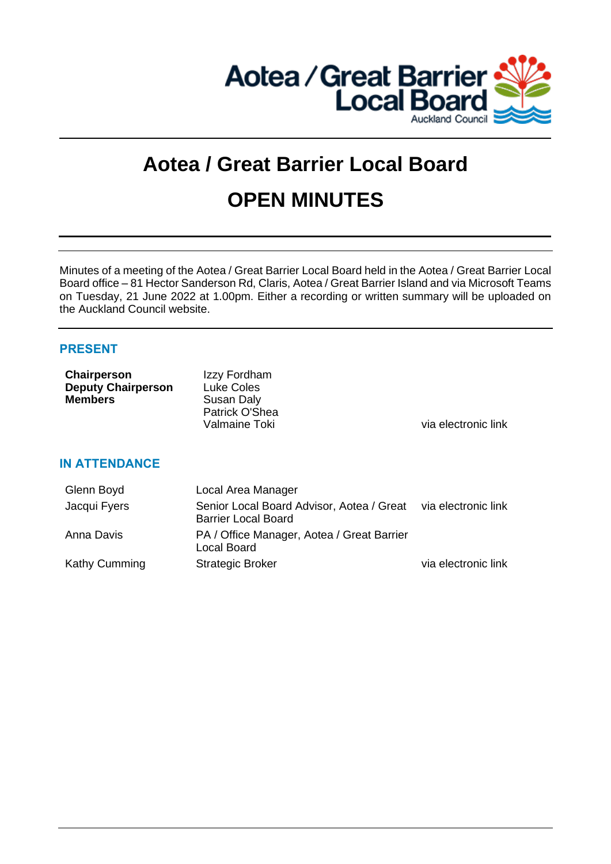

# **Aotea / Great Barrier Local Board OPEN MINUTES**

Minutes of a meeting of the Aotea / Great Barrier Local Board held in the Aotea / Great Barrier Local Board office – 81 Hector Sanderson Rd, Claris, Aotea / Great Barrier Island and via Microsoft Teams on Tuesday, 21 June 2022 at 1.00pm. Either a recording or written summary will be uploaded on the Auckland Council website.

## **PRESENT**

| Chairperson<br><b>Deputy Chairperson</b><br><b>Members</b> | Izzy Fordham<br>Luke Coles<br>Susan Daly<br>Patrick O'Shea<br>Valmaine Toki | via electronic link |
|------------------------------------------------------------|-----------------------------------------------------------------------------|---------------------|
| <b>IN ATTENDANCE</b>                                       |                                                                             |                     |
| Glenn Boyd                                                 | Local Area Manager                                                          |                     |
| Jacqui Fyers                                               | Senior Local Board Advisor, Aotea / Great<br><b>Barrier Local Board</b>     | via electronic link |
| Anna Davis                                                 | PA / Office Manager, Aotea / Great Barrier                                  |                     |

Kathy Cumming Strategic Broker via electronic link

Local Board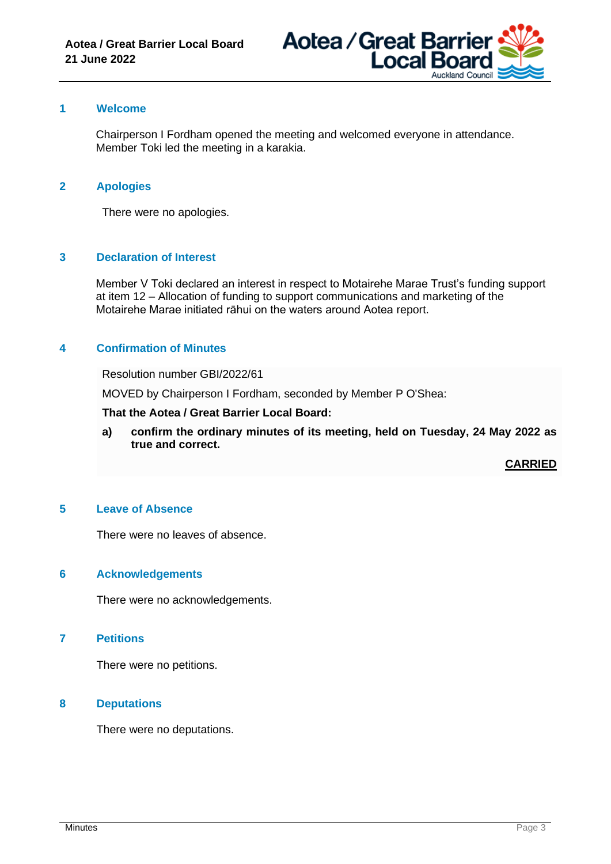

## **1 Welcome**

Chairperson I Fordham opened the meeting and welcomed everyone in attendance. Member Toki led the meeting in a karakia.

## **2 Apologies**

There were no apologies.

#### **3 Declaration of Interest**

Member V Toki declared an interest in respect to Motairehe Marae Trust's funding support at item 12 – Allocation of funding to support communications and marketing of the Motairehe Marae initiated rāhui on the waters around Aotea report.

## **4 Confirmation of Minutes**

Resolution number GBI/2022/61

MOVED by Chairperson I Fordham, seconded by Member P O'Shea:

**That the Aotea / Great Barrier Local Board:**

**a) confirm the ordinary minutes of its meeting, held on Tuesday, 24 May 2022 as true and correct.**

**CARRIED**

#### **5 Leave of Absence**

There were no leaves of absence.

#### **6 Acknowledgements**

There were no acknowledgements.

#### **7 Petitions**

There were no petitions.

#### **8 Deputations**

There were no deputations.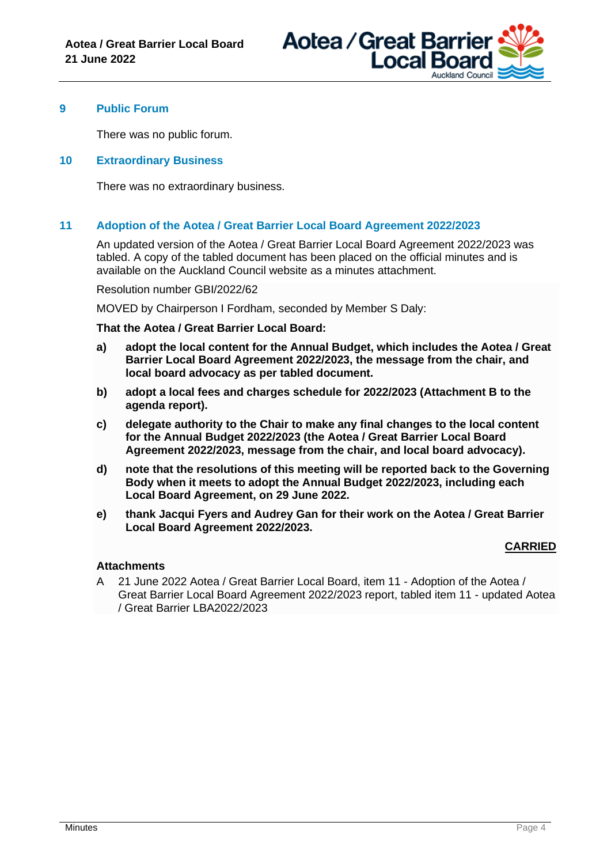

## **9 Public Forum**

There was no public forum.

#### **10 Extraordinary Business**

There was no extraordinary business.

## **11 Adoption of the Aotea / Great Barrier Local Board Agreement 2022/2023**

An updated version of the Aotea / Great Barrier Local Board Agreement 2022/2023 was tabled. A copy of the tabled document has been placed on the official minutes and is available on the Auckland Council website as a minutes attachment.

Resolution number GBI/2022/62

MOVED by Chairperson I Fordham, seconded by Member S Daly:

**That the Aotea / Great Barrier Local Board:**

- **a) adopt the local content for the Annual Budget, which includes the Aotea / Great Barrier Local Board Agreement 2022/2023, the message from the chair, and local board advocacy as per tabled document.**
- **b) adopt a local fees and charges schedule for 2022/2023 (Attachment B to the agenda report).**
- **c) delegate authority to the Chair to make any final changes to the local content for the Annual Budget 2022/2023 (the Aotea / Great Barrier Local Board Agreement 2022/2023, message from the chair, and local board advocacy).**
- **d) note that the resolutions of this meeting will be reported back to the Governing Body when it meets to adopt the Annual Budget 2022/2023, including each Local Board Agreement, on 29 June 2022.**
- **e) thank Jacqui Fyers and Audrey Gan for their work on the Aotea / Great Barrier Local Board Agreement 2022/2023.**

## **CARRIED**

## **Attachments**

A 21 June 2022 Aotea / Great Barrier Local Board, item 11 - Adoption of the Aotea / Great Barrier Local Board Agreement 2022/2023 report, tabled item 11 - updated Aotea / Great Barrier LBA2022/2023